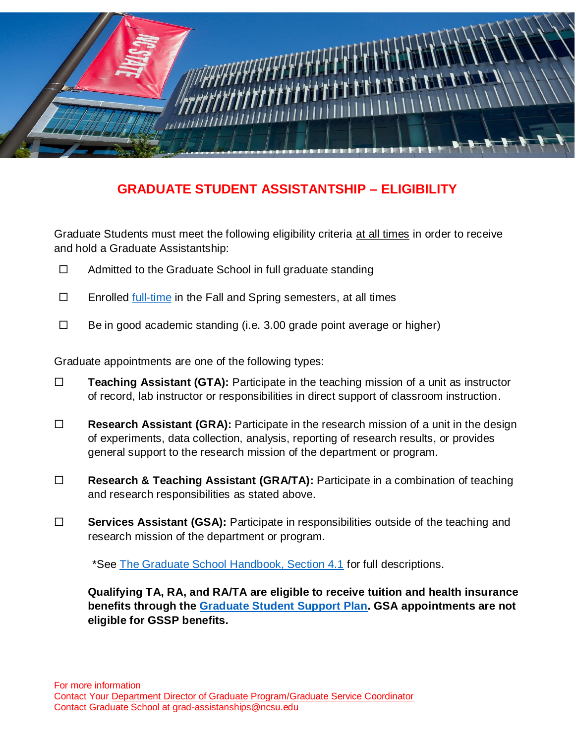

## **GRADUATE STUDENT ASSISTANTSHIP – ELIGIBILITY**

Graduate Students must meet the following eligibility criteria at all times in order to receive and hold a Graduate Assistantship:

- $\Box$  Admitted to the Graduate School in full graduate standing
- $\Box$  Enrolled [full-time](http://catalog.ncsu.edu/graduate/graduate-handbook/minimum-enrollment-requirements/) in the Fall and Spring semesters, at all times
- $\Box$  Be in good academic standing (i.e. 3.00 grade point average or higher)

Graduate appointments are one of the following types:

- **Teaching Assistant (GTA):** Participate in the teaching mission of a unit as instructor of record, lab instructor or responsibilities in direct support of classroom instruction.
- **Research Assistant (GRA):** Participate in the research mission of a unit in the design of experiments, data collection, analysis, reporting of research results, or provides general support to the research mission of the department or program.
- **Research & Teaching Assistant (GRA/TA):** Participate in a combination of teaching and research responsibilities as stated above.
- **Services Assistant (GSA):** Participate in responsibilities outside of the teaching and research mission of the department or program.

\*See [The Graduate School Handbook, Section 4.1](http://catalog.ncsu.edu/graduate/graduate-handbook/assistantships-fellowships-traineeships-grants/) for full descriptions.

**Qualifying TA, RA, and RA/TA are eligible to receive tuition and health insurance benefits through the [Graduate Student Support Plan.](https://grad.ncsu.edu/?page_id=31618&preview=true) GSA appointments are not eligible for GSSP benefits.**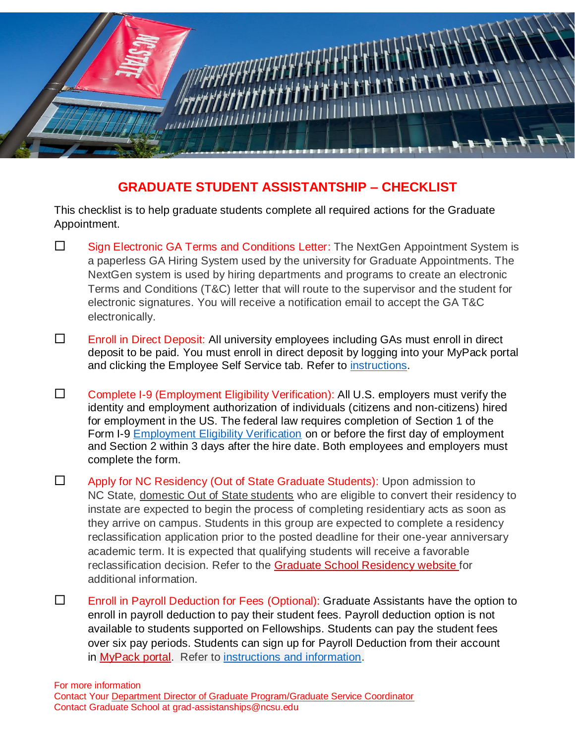

## **GRADUATE STUDENT ASSISTANTSHIP – CHECKLIST**

This checklist is to help graduate students complete all required actions for the Graduate Appointment.

- $\square$  Sign Electronic GA Terms and Conditions Letter: The NextGen Appointment System is a paperless GA Hiring System used by the university for Graduate Appointments. The NextGen system is used by hiring departments and programs to create an electronic Terms and Conditions (T&C) letter that will route to the supervisor and the student for electronic signatures. You will receive a notification email to accept the GA T&C electronically.
- Enroll in Direct Deposit: All university employees including GAs must enroll in direct deposit to be paid. You must enroll in direct deposit by logging into your MyPack portal and clicking the Employee Self Service tab. Refer to [instructions.](https://studentservices.ncsu.edu/wp-content/uploads/2017/10/Enroll-in-Direct-Deposit.pdf)
- $\square$  Complete I-9 (Employment Eligibility Verification): All U.S. employers must verify the identity and employment authorization of individuals (citizens and non-citizens) hired for employment in the US. The federal law requires completion of Section 1 of the Form I-9 [Employment Eligibility Verification](https://ie.hr.ncsu.edu/i9-e-verify/) on or before the first day of employment and Section 2 within 3 days after the hire date. Both employees and employers must complete the form.
- □ Apply for NC Residency (Out of State Graduate Students): Upon admission to NC State, domestic Out of State students who are eligible to convert their residency to instate are expected to begin the process of completing residentiary acts as soon as they arrive on campus. Students in this group are expected to complete a residency reclassification application prior to the posted deadline for their one-year anniversary academic term. It is expected that qualifying students will receive a favorable reclassification decision. Refer to the [Graduate School Residency website](https://grad.ncsu.edu/admissions/residency/) for additional information.
- Enroll in Payroll Deduction for Fees (Optional): Graduate Assistants have the option to enroll in payroll deduction to pay their student fees. Payroll deduction option is not available to students supported on Fellowships. Students can pay the student fees over six pay periods. Students can sign up for Payroll Deduction from their account in [MyPack portal.](https://portalsp.acs.ncsu.edu/shibboleth-ds/?entityID=https%3A%2F%2Fportalsp.acs.ncsu.edu%2Fsp%2Fshibboleth&return=https%3A%2F%2Fportalsp.acs.ncsu.edu%2FShibboleth.sso%2FLogin%3FSAMLDS%3D1%26target%3Dss%253Amem%253A7a5cf153eb978dc75944157d6744142e5135ff8856fdc73a3c550f5e5ff8003e) Refer to [instructions and information.](https://grad.ncsu.edu/wp-content/uploads/2022/06/Payroll-deduction-student-instructions-Fall-2022-1.pdf)